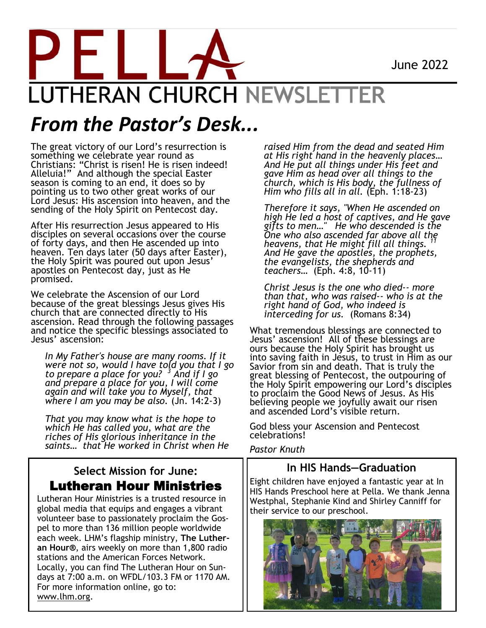June 2022



## *From the Pastor's Desk...*

The great victory of our Lord's resurrection is something we celebrate year round as Christians: "Christ is risen! He is risen indeed! Alleluia!" And although the special Easter season is coming to an end, it does so by pointing us to two other great works of our Lord Jesus: His ascension into heaven, and the sending of the Holy Spirit on Pentecost day.

After His resurrection Jesus appeared to His disciples on several occasions over the course of forty days, and then He ascended up into heaven. Ten days later (50 days after Easter), the Holy Spirit was poured out upon Jesus' apostles on Pentecost day, just as He promised.

We celebrate the Ascension of our Lord because of the great blessings Jesus gives His church that are connected directly to His ascension. Read through the following passages and notice the specific blessings associated to Jesus' ascension:

*In My Father's house are many rooms. If it were not so, would I have told you that I go to prepare a place for you? <sup>3</sup> And if I go and prepare a place for you, I will come again and will take you to Myself, that where I am you may be also.* (Jn. 14:2-3)

*That you may know what is the hope to which He has called you, what are the riches of His glorious inheritance in the saints… that He worked in Christ when He* 

#### **Select Mission for June:** Lutheran Hour Ministries

Lutheran Hour Ministries is a trusted resource in global media that equips and engages a vibrant volunteer base to passionately proclaim the Gospel to more than 136 million people worldwide each week. LHM's flagship ministry, **The Lutheran Hour®**, airs weekly on more than 1,800 radio stations and the American Forces Network. Locally, you can find The Lutheran Hour on Sundays at 7:00 a.m. on WFDL/103.3 FM or 1170 AM. For more information online, go to: www.lhm.org.

*raised Him from the dead and seated Him at His right hand in the heavenly places… And He put all things under His feet and gave Him as head over all things to the church, which is His body, the fullness of Him who fills all in all.* (Eph. 1:18-23)

*Therefore it says, "When He ascended on high He led a host of captives, and He gave gifts to men…" He who descended is the One who also ascended far above all the heavens, that He might fill all things. And He gave the apostles, the prophets, the evangelists, the shepherds and teachers…* (Eph. 4:8, 10-11)

*Christ Jesus is the one who died-- more than that, who was raised-- who is at the right hand of God, who indeed is interceding for us.* (Romans 8:34)

What tremendous blessings are connected to Jesus' ascension! All of these blessings are ours because the Holy Spirit has brought us into saving faith in Jesus, to trust in Him as our Savior from sin and death. That is truly the great blessing of Pentecost, the outpouring of the Holy Spirit empowering our Lord's disciples to proclaim the Good News of Jesus. As His believing people we joyfully await our risen and ascended Lord's visible return.

God bless your Ascension and Pentecost celebrations!

*Pastor Knuth*

#### **In HIS Hands—Graduation**

Eight children have enjoyed a fantastic year at In HIS Hands Preschool here at Pella. We thank Jenna Westphal, Stephanie Kind and Shirley Canniff for their service to our preschool.

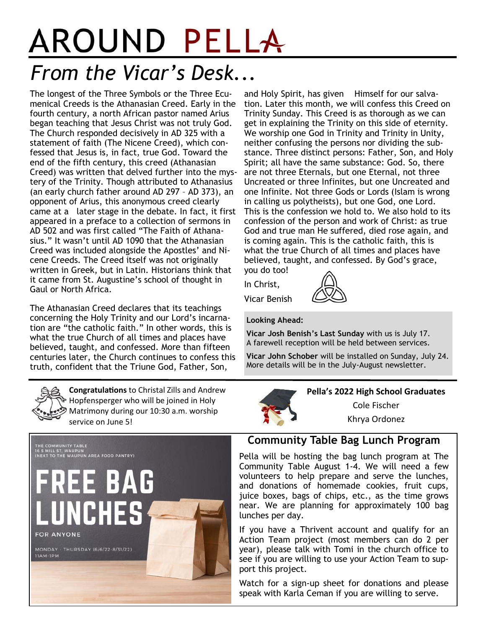# AROUND PELLA *From the Vicar's Desk...*

The longest of the Three Symbols or the Three Ecumenical Creeds is the Athanasian Creed. Early in the fourth century, a north African pastor named Arius began teaching that Jesus Christ was not truly God. The Church responded decisively in AD 325 with a statement of faith (The Nicene Creed), which confessed that Jesus is, in fact, true God. Toward the end of the fifth century, this creed (Athanasian Creed) was written that delved further into the mystery of the Trinity. Though attributed to Athanasius (an early church father around AD 297 – AD 373), an opponent of Arius, this anonymous creed clearly came at a later stage in the debate. In fact, it first appeared in a preface to a collection of sermons in AD 502 and was first called "The Faith of Athanasius." It wasn't until AD 1090 that the Athanasian Creed was included alongside the Apostles' and Nicene Creeds. The Creed itself was not originally written in Greek, but in Latin. Historians think that it came from St. Augustine's school of thought in Gaul or North Africa.

The Athanasian Creed declares that its teachings concerning the Holy Trinity and our Lord's incarnation are "the catholic faith." In other words, this is what the true Church of all times and places have believed, taught, and confessed. More than fifteen centuries later, the Church continues to confess this truth, confident that the Triune God, Father, Son,

and Holy Spirit, has given Himself for our salvation. Later this month, we will confess this Creed on Trinity Sunday. This Creed is as thorough as we can get in explaining the Trinity on this side of eternity. We worship one God in Trinity and Trinity in Unity, neither confusing the persons nor dividing the substance. Three distinct persons: Father, Son, and Holy Spirit; all have the same substance: God. So, there are not three Eternals, but one Eternal, not three Uncreated or three Infinites, but one Uncreated and one Infinite. Not three Gods or Lords (Islam is wrong in calling us polytheists), but one God, one Lord. This is the confession we hold to. We also hold to its confession of the person and work of Christ: as true God and true man He suffered, died rose again, and is coming again. This is the catholic faith, this is what the true Church of all times and places have believed, taught, and confessed. By God's grace, you do too!

In Christ,

Vicar Benish

#### **Looking Ahead:**

**Vicar Josh Benish's Last Sunday** with us is July 17. A farewell reception will be held between services.

**Vicar John Schober** will be installed on Sunday, July 24. More details will be in the July-August newsletter.



**Congratulations** to Christal Zills and Andrew Hopfensperger who will be joined in Holy Matrimony during our 10:30 a.m. worship service on June 5!



**Pella's 2022 High School Graduates**

Cole Fischer

Khrya Ordonez

#### **Community Table Bag Lunch Program**

Pella will be hosting the bag lunch program at The Community Table August 1-4. We will need a few volunteers to help prepare and serve the lunches, and donations of homemade cookies, fruit cups, juice boxes, bags of chips, etc., as the time grows near. We are planning for approximately 100 bag lunches per day.

If you have a Thrivent account and qualify for an Action Team project (most members can do 2 per year), please talk with Tomi in the church office to see if you are willing to use your Action Team to support this project.

Watch for a sign-up sheet for donations and please speak with Karla Ceman if you are willing to serve.

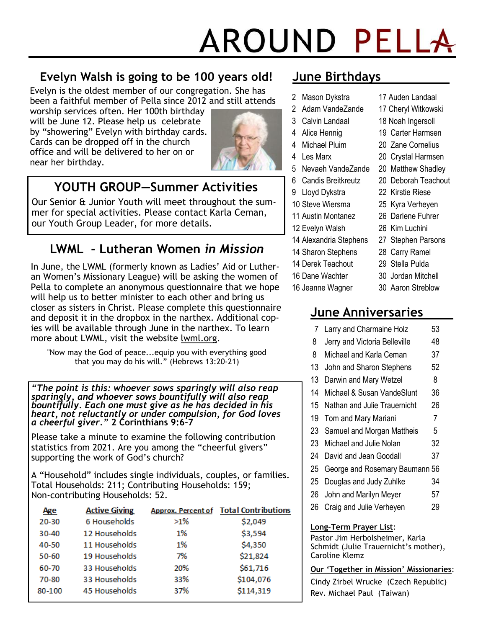# AROUND PELLA

#### **Evelyn Walsh is going to be 100 years old!**

Evelyn is the oldest member of our congregation. She has been a faithful member of Pella since 2012 and still attends

worship services often. Her 100th birthday will be June 12. Please help us celebrate by "showering" Evelyn with birthday cards. Cards can be dropped off in the church office and will be delivered to her on or near her birthday.



#### **YOUTH GROUP—Summer Activities**

Our Senior & Junior Youth will meet throughout the summer for special activities. Please contact Karla Ceman, our Youth Group Leader, for more details.

#### **LWML - Lutheran Women** *in Mission*

In June, the LWML (formerly known as Ladies' Aid or Lutheran Women's Missionary League) will be asking the women of Pella to complete an anonymous questionnaire that we hope will help us to better minister to each other and bring us closer as sisters in Christ. Please complete this questionnaire and deposit it in the dropbox in the narthex. Additional copies will be available through June in the narthex. To learn more about LWML, visit the website lwml.org.

"Now may the God of peace...equip you with everything good that you may do his will." (Hebrews 13:20-21)

*"The point is this: whoever sows sparingly will also reap sparingly, and whoever sows bountifully will also reap bountifully. Each one must give as he has decided in his heart, not reluctantly or under compulsion, for God loves a cheerful giver."* **2 Corinthians 9:6-7**

Please take a minute to examine the following contribution statistics from 2021. Are you among the "cheerful givers" supporting the work of God's church?

A "Household" includes single individuals, couples, or families. Total Households: 211; Contributing Households: 159; Non-contributing Households: 52.

| <b>Age</b> | <b>Active Giving</b> |        | <b>Approx. Percent of Total Contributions</b> |
|------------|----------------------|--------|-----------------------------------------------|
| $20 - 30$  | 6 Households         | $>1\%$ | \$2,049                                       |
| $30 - 40$  | 12 Households        | 1%     | \$3,594                                       |
| 40-50      | 11 Households        | 1%     | \$4,350                                       |
| $50 - 60$  | 19 Households        | 7%     | \$21,824                                      |
| 60-70      | 33 Households        | 20%    | \$61,716                                      |
| 70-80      | 33 Households        | 33%    | \$104,076                                     |
| 80-100     | 45 Households        | 37%    | \$114,319                                     |

#### **June Birthdays**

- 2 Mason Dykstra 2 Adam VandeZande
- 3 Calvin Landaal
- 
- 4 Alice Hennig
- 4 Michael Pluim
- 4 Les Marx
- 5 Nevaeh VandeZande
- 6 Candis Breitkreutz
- 9 Lloyd Dykstra
- 10 Steve Wiersma
- 11 Austin Montanez
- 12 Evelyn Walsh
- 14 Alexandria Stephens
- 14 Sharon Stephens
- 14 Derek Teachout
- 16 Dane Wachter
- 16 Jeanne Wagner
- 30 Jordan Mitchell
- 30 Aaron Streblow

#### **June Anniversaries**

- 7 Larry and Charmaine Holz 53 8 Jerry and Victoria Belleville 48
- 8 Michael and Karla Ceman 37
- 13 John and Sharon Stephens 52
- 13 Darwin and Mary Wetzel 8
- 14 Michael & Susan VandeSlunt 36
- 15 Nathan and Julie Trauernicht 26
- 19 Tom and Mary Mariani 7
- 23 Samuel and Morgan Mattheis 5
- 23 Michael and Julie Nolan 32
- 24 David and Jean Goodall 37
- 25 George and Rosemary Baumann 56
- 25 Douglas and Judy Zuhlke 34
- 26 John and Marilyn Meyer 57
- 26 Craig and Julie Verheyen 29

#### **Long-Term Prayer List**:

Pastor Jim Herbolsheimer, Karla Schmidt (Julie Trauernicht's mother), Caroline Klemz

#### **Our 'Together in Mission' Missionaries**:

Cindy Zirbel Wrucke (Czech Republic) Rev. Michael Paul (Taiwan)

20 Zane Cornelius

17 Auden Landaal 17 Cheryl Witkowski 18 Noah Ingersoll 19 Carter Harmsen

- 20 Crystal Harmsen
- 20 Matthew Shadley
- 20 Deborah Teachout
- 22 Kirstie Riese
- 25 Kyra Verheyen
- 26 Darlene Fuhrer

#### 26 Kim Luchini

27 Stephen Parsons

#### 28 Carry Ramel

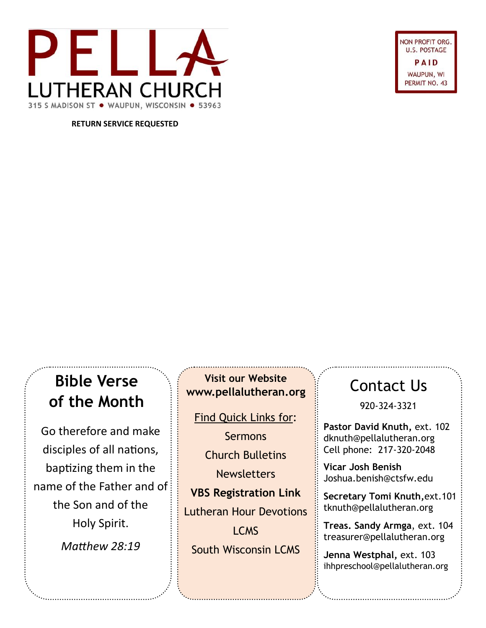

**JON PROFIT ORG U.S. POSTAGE** PAID WAUPUN, WI PERMIT NO. 43

**RETURN SERVICE REQUESTED**

#### **Bible Verse of the Month**

Go therefore and make disciples of all nations, baptizing them in the name of the Father and of the Son and of the Holy Spirit. *Matthew 28:19*

**Visit our Website www.pellalutheran.org**

Find Quick Links for:

**Sermons** Church Bulletins **Newsletters** 

**VBS Registration Link** Lutheran Hour Devotions

LCMS South Wisconsin LCMS

#### Contact Us

920-324-3321

**Pastor David Knuth,** ext. 102 dknuth@pellalutheran.org Cell phone: 217-320-2048

**Vicar Josh Benish** Joshua.benish@ctsfw.edu

**Secretary Tomi Knuth,**ext.101 tknuth@pellalutheran.org

**Treas. Sandy Armga**, ext. 104 treasurer@pellalutheran.org

**Jenna Westphal,** ext. 103 ihhpreschool@pellalutheran.org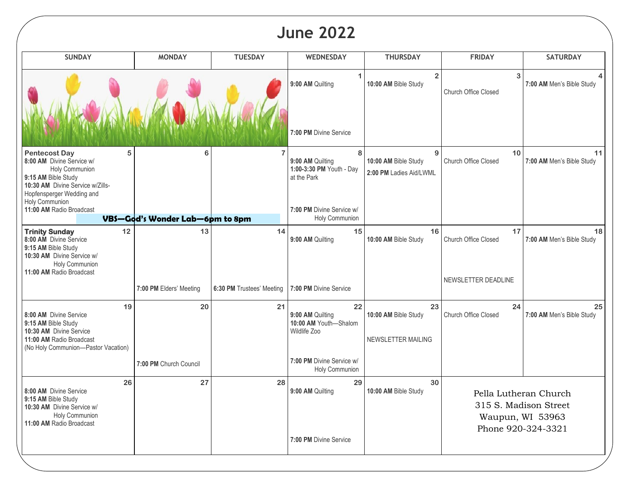### **June 2022**

| 3<br>$\overline{2}$<br>9:00 AM Quilting<br>10:00 AM Bible Study<br>7:00 AM Men's Bible Study<br>Church Office Closed<br>7:00 PM Divine Service<br>10<br><b>Pentecost Day</b><br>5<br>8<br>6<br>9<br>8:00 AM Divine Service w/<br>9:00 AM Quilting<br>10:00 AM Bible Study<br>Church Office Closed<br>7:00 AM Men's Bible Study<br>1:00-3:30 PM Youth - Day<br>Holy Communion<br>2:00 PM Ladies Aid/LWML<br>9:15 AM Bible Study<br>at the Park<br>10:30 AM Divine Service w/Zills-<br>Hopfensperger Wedding and<br>Holy Communion<br>11:00 AM Radio Broadcast<br>7:00 PM Divine Service w/<br>Holy Communion<br>VBS-God's Wonder Lab-6pm to 8pm<br><b>Trinity Sunday</b><br>12<br>13<br>14<br>15<br>17<br>16<br>8:00 AM Divine Service<br>9:00 AM Quilting<br>10:00 AM Bible Study<br><b>Church Office Closed</b><br>7:00 AM Men's Bible Study<br>9:15 AM Bible Study<br>10:30 AM Divine Service w/<br>Holy Communion<br>11:00 AM Radio Broadcast<br>NEWSLETTER DEADLINE<br>7:00 PM Divine Service<br>7:00 PM Elders' Meeting<br>6:30 PM Trustees' Meeting<br>22<br>20<br>21<br>24<br>19<br>23<br>8:00 AM Divine Service<br>9:00 AM Quilting<br>10:00 AM Bible Study<br><b>Church Office Closed</b><br>7:00 AM Men's Bible Study<br>9:15 AM Bible Study<br>10:00 AM Youth-Shalom<br>Wildlife Zoo<br>10:30 AM Divine Service<br>11:00 AM Radio Broadcast<br>NEWSLETTER MAILING<br>(No Holy Communion-Pastor Vacation)<br>7:00 PM Divine Service w/<br>7:00 PM Church Council<br>Holy Communion<br>26<br>27<br>28<br>29<br>30<br>8:00 AM Divine Service<br>9:00 AM Quilting<br>10:00 AM Bible Study<br>Pella Lutheran Church<br>9:15 AM Bible Study<br>315 S. Madison Street<br>10:30 AM Divine Service w/<br>Holy Communion<br>Waupun, WI 53963<br>11:00 AM Radio Broadcast<br>Phone 920-324-3321 | <b>SUNDAY</b> | <b>MONDAY</b> | <b>TUESDAY</b> | <b>WEDNESDAY</b> | <b>THURSDAY</b> | <b>FRIDAY</b> | <b>SATURDAY</b> |
|-------------------------------------------------------------------------------------------------------------------------------------------------------------------------------------------------------------------------------------------------------------------------------------------------------------------------------------------------------------------------------------------------------------------------------------------------------------------------------------------------------------------------------------------------------------------------------------------------------------------------------------------------------------------------------------------------------------------------------------------------------------------------------------------------------------------------------------------------------------------------------------------------------------------------------------------------------------------------------------------------------------------------------------------------------------------------------------------------------------------------------------------------------------------------------------------------------------------------------------------------------------------------------------------------------------------------------------------------------------------------------------------------------------------------------------------------------------------------------------------------------------------------------------------------------------------------------------------------------------------------------------------------------------------------------------------------------------------------------------------------------------------------------------------------|---------------|---------------|----------------|------------------|-----------------|---------------|-----------------|
|                                                                                                                                                                                                                                                                                                                                                                                                                                                                                                                                                                                                                                                                                                                                                                                                                                                                                                                                                                                                                                                                                                                                                                                                                                                                                                                                                                                                                                                                                                                                                                                                                                                                                                                                                                                                 |               |               |                |                  |                 |               |                 |
|                                                                                                                                                                                                                                                                                                                                                                                                                                                                                                                                                                                                                                                                                                                                                                                                                                                                                                                                                                                                                                                                                                                                                                                                                                                                                                                                                                                                                                                                                                                                                                                                                                                                                                                                                                                                 |               |               |                |                  |                 |               |                 |
|                                                                                                                                                                                                                                                                                                                                                                                                                                                                                                                                                                                                                                                                                                                                                                                                                                                                                                                                                                                                                                                                                                                                                                                                                                                                                                                                                                                                                                                                                                                                                                                                                                                                                                                                                                                                 |               |               |                |                  |                 |               | 11              |
|                                                                                                                                                                                                                                                                                                                                                                                                                                                                                                                                                                                                                                                                                                                                                                                                                                                                                                                                                                                                                                                                                                                                                                                                                                                                                                                                                                                                                                                                                                                                                                                                                                                                                                                                                                                                 |               |               |                |                  |                 |               |                 |
|                                                                                                                                                                                                                                                                                                                                                                                                                                                                                                                                                                                                                                                                                                                                                                                                                                                                                                                                                                                                                                                                                                                                                                                                                                                                                                                                                                                                                                                                                                                                                                                                                                                                                                                                                                                                 |               |               |                |                  |                 |               | 18              |
|                                                                                                                                                                                                                                                                                                                                                                                                                                                                                                                                                                                                                                                                                                                                                                                                                                                                                                                                                                                                                                                                                                                                                                                                                                                                                                                                                                                                                                                                                                                                                                                                                                                                                                                                                                                                 |               |               |                |                  |                 |               |                 |
|                                                                                                                                                                                                                                                                                                                                                                                                                                                                                                                                                                                                                                                                                                                                                                                                                                                                                                                                                                                                                                                                                                                                                                                                                                                                                                                                                                                                                                                                                                                                                                                                                                                                                                                                                                                                 |               |               |                |                  |                 |               | 25              |
|                                                                                                                                                                                                                                                                                                                                                                                                                                                                                                                                                                                                                                                                                                                                                                                                                                                                                                                                                                                                                                                                                                                                                                                                                                                                                                                                                                                                                                                                                                                                                                                                                                                                                                                                                                                                 |               |               |                |                  |                 |               |                 |
| 7:00 PM Divine Service                                                                                                                                                                                                                                                                                                                                                                                                                                                                                                                                                                                                                                                                                                                                                                                                                                                                                                                                                                                                                                                                                                                                                                                                                                                                                                                                                                                                                                                                                                                                                                                                                                                                                                                                                                          |               |               |                |                  |                 |               |                 |